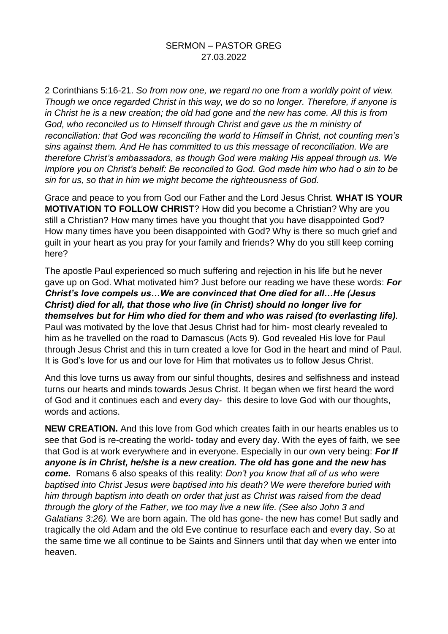## SERMON – PASTOR GREG 27.03.2022

2 Corinthians 5:16-21. *So from now one, we regard no one from a worldly point of view. Though we once regarded Christ in this way, we do so no longer. Therefore, if anyone is in Christ he is a new creation; the old had gone and the new has come. All this is from God, who reconciled us to Himself through Christ and gave us the m ministry of reconciliation: that God was reconciling the world to Himself in Christ, not counting men's sins against them. And He has committed to us this message of reconciliation. We are therefore Christ's ambassadors, as though God were making His appeal through us. We implore you on Christ's behalf: Be reconciled to God. God made him who had o sin to be sin for us, so that in him we might become the righteousness of God.* 

Grace and peace to you from God our Father and the Lord Jesus Christ. **WHAT IS YOUR MOTIVATION TO FOLLOW CHRIST**? How did you become a Christian? Why are you still a Christian? How many times have you thought that you have disappointed God? How many times have you been disappointed with God? Why is there so much grief and guilt in your heart as you pray for your family and friends? Why do you still keep coming here?

The apostle Paul experienced so much suffering and rejection in his life but he never gave up on God. What motivated him? Just before our reading we have these words: *For Christ's love compels us…We are convinced that One died for all…He (Jesus Christ) died for all, that those who live (in Christ) should no longer live for themselves but for Him who died for them and who was raised (to everlasting life).*  Paul was motivated by the love that Jesus Christ had for him- most clearly revealed to him as he travelled on the road to Damascus (Acts 9). God revealed His love for Paul through Jesus Christ and this in turn created a love for God in the heart and mind of Paul. It is God's love for us and our love for Him that motivates us to follow Jesus Christ.

And this love turns us away from our sinful thoughts, desires and selfishness and instead turns our hearts and minds towards Jesus Christ. It began when we first heard the word of God and it continues each and every day- this desire to love God with our thoughts, words and actions.

**NEW CREATION.** And this love from God which creates faith in our hearts enables us to see that God is re-creating the world- today and every day. With the eyes of faith, we see that God is at work everywhere and in everyone. Especially in our own very being: *For If anyone is in Christ, he/she is a new creation. The old has gone and the new has come.* Romans 6 also speaks of this reality: *Don't you know that all of us who were baptised into Christ Jesus were baptised into his death? We were therefore buried with him through baptism into death on order that just as Christ was raised from the dead through the glory of the Father, we too may live a new life. (See also John 3 and Galatians 3:26).* We are born again. The old has gone- the new has come! But sadly and tragically the old Adam and the old Eve continue to resurface each and every day. So at the same time we all continue to be Saints and Sinners until that day when we enter into heaven.